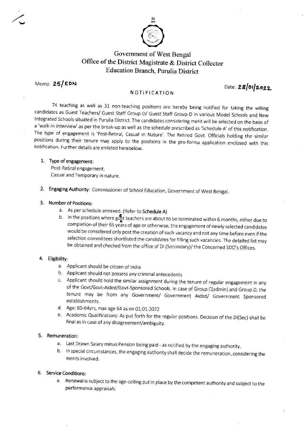

# Government of West Bengal Office of the District Magistrate & District Collector **Education Branch, Purulia District**

Memo: 25/EDN

Date: 28/01/2022

# NOTIFICATION

74 teaching as well as 31 non-teaching positions are hereby being notified for taking the willing candidates as Guest Teachers/ Guest Staff Group-D/ Guest Staff Group-D in various Model Schools and New Integrated Schools situated in Purulia District. The candidates considering merit will be selected on the basis of a 'walk-in-interview' as per the break-up as well as the schedule prescribed as 'Schedule A' of this notification. The type of engagement is 'Post-Retiral, Casual in Nature'. The Retired Govt. Officials holding the similar positions during their tenure may apply to the positions in the pro-forma application enclosed with this notification. Further details are enlisted herebelow.

## 1. Type of engagement:

Post-Retiral engagement. Casual and Temporary in nature.

2. Engaging Authority: Commissioner of School Education, Government of West Bengal.

## 3. Number of Positions:

- a. As per schedule annexed. (Refer to Schedule A)
- b. In the positions where gust teachers are about to be terminated within 6 months, either due to completion of their 65 years of age or otherwise, the engagement of newly selected candidates would be considered only post the creation of such vacancy and not any time before even if the selection committees shortlisted the candidates for filling such vacancies. The detailed list may be obtained and checked from the office of DI (Secondary)/ the Concerned SDO's Offices.

## 4. Eligibility:

- a. Applicant should be citizen of India
- b. Applicant should not possess any criminal antecedents
- c. Applicant should hold the similar assignment during the tenure of regular engagement in any of the Govt/Govt-Aided/Govt-Sponsored Schools. In case of Group C(admin) and Group D, the tenure may be from any Government/ Government Aided/ Government Sponsored establishments.
- d. Age: 60-64yrs, max age 64 as on 01.01.2022
- e. Academic Qualifications: As put forth for the regular positions. Decision of the DI(Sec) shall be final as in case of any disagreement/ambiguity.

# 5. Remuneration:

- a. Last Drawn Salary minus Pension being paid as notified by the engaging authority.
- b. In special circumstances, the engaging authority shall decide the remuneration, considering the merits involved.

# 6. Service Conditions:

a. Renewal is subject to the age-ceiling put in place by the competent authority and subject to the performance appraisals.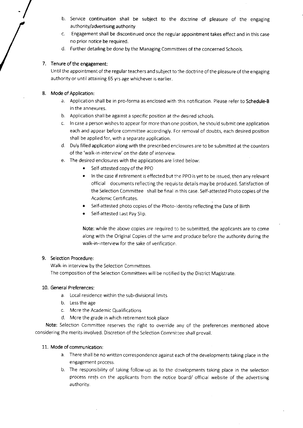- b. Service continuation shall be subject to the doctrine of pleasure of the engaging authority/advertising authority
- Engagement shall be discontinued once the regular appointment takes effect and in this case  $C<sub>1</sub>$ no prior notice be required.
- d. Further detailing be done by the Managing Committees of the concerned Schools.

## 7. Tenure of the engagement:

Until the appointment of the regular teachers and subject to the doctrine of the pleasure of the engaging authority or until attaining 65 yrs age whichever is earlier.

## 8. Mode of Application:

- a. Application shall be in pro-forma as enclosed with this notification. Please refer to Schedule-B in the annexures.
- b. Application shall be against a specific position at the desired schools.
- c. In case a person wishes to appear for more than one position, he should submit one application each and appear before committee accordingly. For removal of doubts, each desired position shall be applied for, with a separate application.
- d. Duly filled application along with the prescribed enclosures are to be submitted at the counters of the 'walk-in-interview' on the date of interview.
- e. The desired enclosures with the applications are listed below:
	- Self-attested copy of the PPO
	- In the case if retirement is effected but the PPO is yet to be issued, then any relevant official documents reflecting the requisite details may be produced. Satisfaction of the Selection Committee shall be final in this case. Self-attested Photo copies of the Academic Certificates.
	- Self-attested photo copies of the Photo-Identity reflecting the Date of Birth
	- Self-attested Last Pay Slip.

Note: while the above copies are required to be submitted, the applicants are to come along with the Original Copies of the same and produce before the authority during the walk-in-interview for the sake of verification.

## 9. Selection Procedure:

Walk-in-interview by the Selection Committees. The composition of the Selection Committees will be notified by the District Magistrate.

## 10. General Preferences:

- a. Local residence within the sub-divisional limits
- b. Less the age
- c. More the Academic Qualifications
- d. More the grade in which retirement took place

Note: Selection Committee reserves the right to override any of the preferences mentioned above considering the merits involved. Discretion of the Selection Committee shall prevail.

## 11. Mode of communication:

- a. There shall be no written correspondence against each of the developments taking place in the engagement process.
- b. The responsibility of taking follow-up as to the developments taking place in the selection process rests on the applicants from the notice board/ official website of the advertising authority.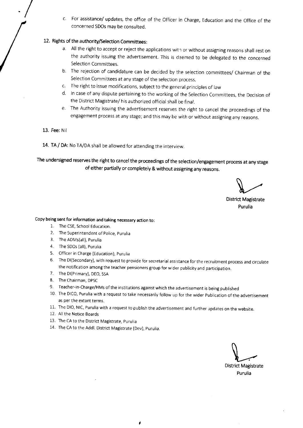c. For assistance/ updates, the office of the Officer in Charge, Education and the Office of the concerned SDOs may be consulted.

# 12. Rights of the authority/Selection Committees:

- a. All the right to accept or reject the applications with or without assigning reasons shall rest on the authority issuing the advertisement. This is deemed to be delegated to the concerned Selection Committees.
- b. The rejection of candidature can be decided by the selection committees/ Chairman of the Selection Committees at any stage of the selection process.
- c. The right to issue modifications, subject to the general principles of law
- d. In case of any dispute pertaining to the working of the Selection Committees, the Decision of the District Magistrate/ his authorized official shall be final.
- e. The Authority issuing the advertisement reserves the right to cancel the proceedings of the engagement process at any stage; and this may be with or without assigning any reasons.
- 13. Fee: Nil
- 14. TA / DA: No TA/DA shall be allowed for attending the interview.

The undersigned reserves the right to cancel the proceedings of the selection/engagement process at any stage of either partially or completely & without assigning any reasons.

**District Magistrate** Purulia

#### Copy being sent for information and taking necessary action to:

- 1. The CSE, School Education.
- 2. The Superintendent of Police, Purulia
- 3. The ADMs(all), Purulia
- 4. The SDOs (all), Purulia
- 5. Officer in Charge (Education), Purulia
- The DI(Secondary), with request to provide for secretarial assistance for the recruitment process and circulate  $6.$ the notification among the teacher pensioners group for wider publicity and participation.
- 7. The DI(Primary), DEO, SSA
- 8. The Chairman, DPSC
- 9. Teacher-in-Charge/HMs of the institutions against which the advertisement is being published
- 10. The DICO, Purulia with a request to take necessarily follow up for the wider Publication of the advertisement as per the extant terms.
- 11. The DIO, NIC, Purulia with a request to publish the advertisement and further updates on the website.
- 12. All the Notice Boards
- 13. The CA to the District Magistrate, Purulia
- 14. The CA to the Addl. District Magistrate (Dev), Purulia.

**District Magistrate** 

Purulia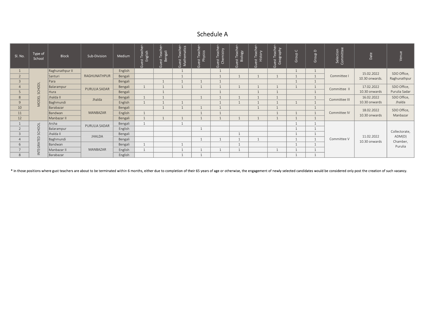# Schedule A

| <b>SI. No.</b> | Type of<br>School      | <b>Block</b>    | Sub-Division  | Medium  | st Teach<br>English<br>$\overline{G}$ | iuest Teache<br>Bengali | <b>Guest Teacher-</b><br>Mathematics | Guest Teache<br>Physics | iuest Teacher<br>Chemistry | Guest Teache<br>History | asus<br>aphy<br>ᅟᄃ៓<br>Guest<br>Geog | Group C | d dn<br>$\sigma$ | Selection<br>Committee<br>$\cup$ | Date                                                   | Venu                                           |
|----------------|------------------------|-----------------|---------------|---------|---------------------------------------|-------------------------|--------------------------------------|-------------------------|----------------------------|-------------------------|--------------------------------------|---------|------------------|----------------------------------|--------------------------------------------------------|------------------------------------------------|
|                |                        | Raghunathpur II | RAGHUNATHPUR  | English |                                       |                         |                                      |                         |                            |                         |                                      |         |                  | Committee I                      | 15.02.2022<br>10.30 onwards.                           | SDO Office,<br>Raghunathpur                    |
| $\epsilon$     |                        | Santuri         |               | Bengali |                                       |                         |                                      |                         |                            |                         |                                      |         |                  |                                  |                                                        |                                                |
|                |                        | Para            |               | Bengali |                                       |                         |                                      |                         |                            |                         |                                      |         |                  |                                  |                                                        |                                                |
|                |                        | Balarampur      | PURULIA SADAR | Bengali |                                       |                         |                                      |                         |                            |                         |                                      |         |                  | Committee II                     | 17.02.2022                                             | SDO Office,                                    |
|                | SCHOOL<br><b>MODEL</b> | Hura            |               | Bengali |                                       |                         |                                      |                         |                            |                         |                                      |         |                  |                                  | 10.30 onwards                                          | Purulia Sadar<br>SDO Office,                   |
|                |                        | Jhalda II       | Jhalda        | Bengali |                                       |                         |                                      |                         |                            |                         |                                      |         |                  | Committee III                    | 16.02.2022                                             |                                                |
|                |                        | Baghmundi       |               | English |                                       |                         |                                      |                         |                            |                         |                                      |         |                  |                                  | 10.30 onwards                                          | Jhalda                                         |
| 10             |                        | Barabazar       | MANBAZAR      | Bengali |                                       |                         |                                      |                         |                            |                         |                                      |         |                  | Committee IV                     | SDO Office,<br>18.02.2022<br>Manbazar<br>10.30 onwards |                                                |
| 11             |                        | Bandwan         |               | English |                                       |                         |                                      |                         |                            |                         |                                      |         |                  |                                  |                                                        |                                                |
| 12             |                        | Manbazar II     |               | Bengali |                                       |                         |                                      |                         |                            |                         |                                      |         |                  |                                  |                                                        |                                                |
|                |                        | Arsha           | PURULIA SADAR | Bengali |                                       |                         |                                      |                         |                            |                         |                                      |         |                  | Committee V                      | 11.02.2022<br>10.30 onwards                            | Collectorate,<br>ADM(D)<br>Chamber,<br>Purulia |
|                | SCHOOL                 | Balarampur      |               | English |                                       |                         |                                      |                         |                            |                         |                                      |         |                  |                                  |                                                        |                                                |
|                |                        | Jhalda II       | JHALDA        | Bengali |                                       |                         |                                      |                         |                            |                         |                                      |         |                  |                                  |                                                        |                                                |
|                | TEGRATED               | Baghmundi       |               | Bengali |                                       |                         |                                      |                         |                            |                         |                                      |         |                  |                                  |                                                        |                                                |
|                |                        | Bandwan         | MANBAZAR      | Bengali |                                       |                         |                                      |                         |                            |                         |                                      |         |                  |                                  |                                                        |                                                |
|                |                        | Manbazar II     |               | English |                                       |                         |                                      |                         |                            |                         |                                      |         |                  |                                  |                                                        |                                                |
|                | ≧<br>Barabazar         |                 |               | English |                                       |                         |                                      |                         |                            |                         |                                      |         |                  |                                  |                                                        |                                                |

\* in those positions where gust teachers are about to be terminated within 6 months, either due to completion of their 65 years of age or otherwise, the engagement of newly selected candidates would be considered only post